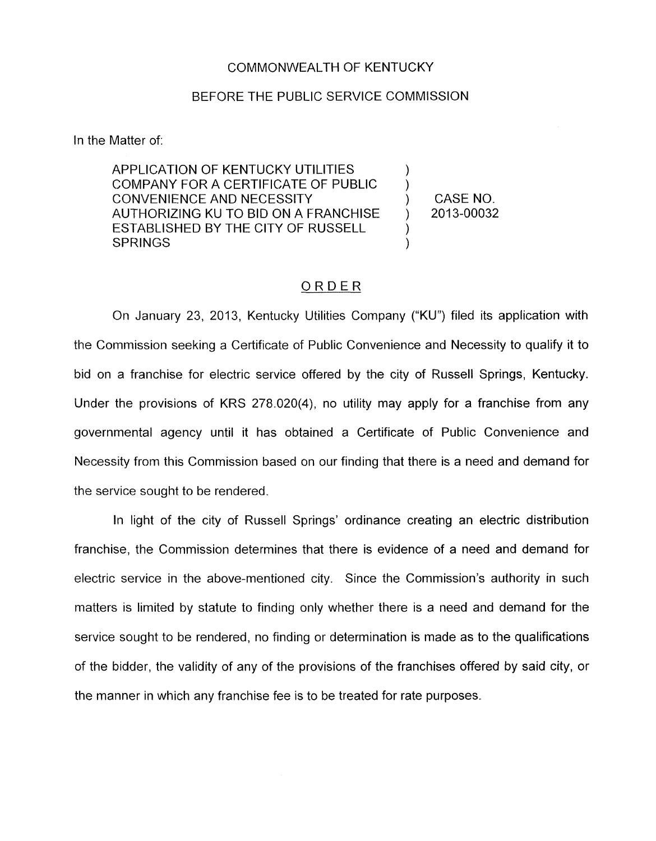## COMMONWEALTH OF KENTUCKY

## BEFORE THE PUBLIC SERVICE COMMISSION

In the Matter of:

APPLICATION OF KENTUCKY UTILITIES COMPANY FOR A CERTIFICATE OF PUBLIC CONVENIENCE AND NECESSITY (CONVENIENCE AND NECESSITY ) CASE NO.<br>AUTHORIZING KU TO BID ON A FRANCHISE (2013-00032) AUTHORIZING KU TO BID ON A FRANCHISE  $\longrightarrow$ ESTABLISHED BY THE CITY OF RUSSELL **SPRINGS** 

)

## ORDER

On January 23, 2013, Kentucky Utilities Company ("KU") filed its application with the Commission seeking a Certificate of Public Convenience and Necessity to qualify it to bid on a franchise for electric service offered by the city of Russell Springs, Kentucky. Under the provisions of KRS 278.020(4), no utility may apply for a franchise from any governmental agency until it has obtained a Certificate of Public Convenience and Necessity from this Commission based on our finding that there is a need and demand for the service sought to be rendered.

In light of the city of Russell Springs' ordinance creating an electric distribution franchise, the Commission determines that there is evidence of a need and demand for electric service in the above-mentioned city. Since the Commission's authority in such matters is limited by statute to finding only whether there is a need and demand for the service sought to be rendered, no finding or determination is made as to the qualifications of the bidder, the validity of any of the provisions of the franchises offered by said city, or the manner in which any franchise fee is to be treated for rate purposes.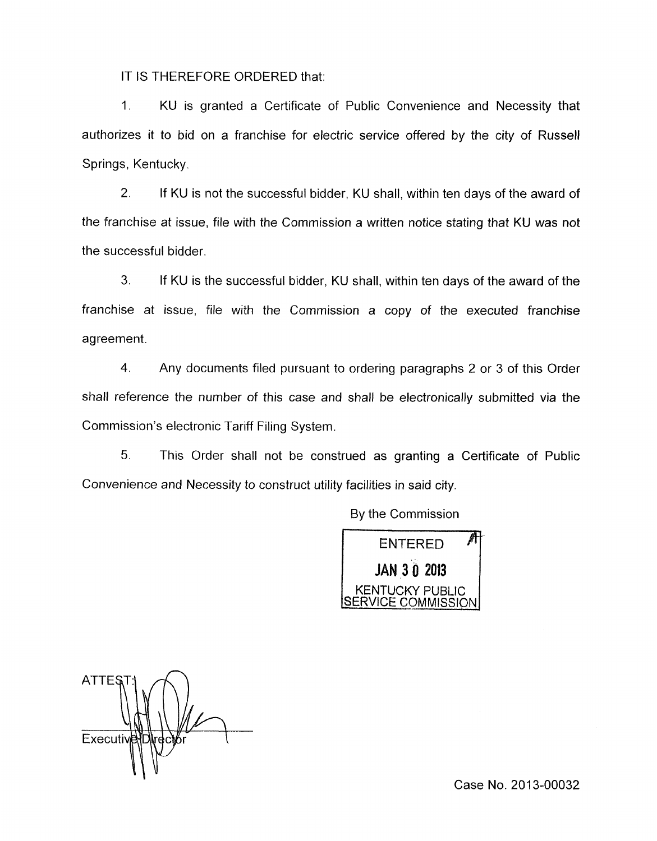IT IS THEREFORE ORDERED that:

1. KU is granted a Certificate of Public Convenience and Necessity that authorizes it to bid on a franchise for electric service offered by the city of Russell Springs, Kentucky

*2.* If KU is not the successful bidder, KU shall, within ten days of the award of the franchise at issue, file with the Commission a written notice stating that KU was not the successful bidder

**3.** If KU is the successful bidder, KU shall, within ten days of the award of the franchise at issue, file with the Commission a copy of the executed franchise agreement.

4. Any documents filed pursuant to ordering paragraphs 2 or 3 of this Order shall reference the number of this case and shall be electronically submitted via the Commission's electronic Tariff Filing System.

*5.* This Order shall not be construed as granting a Certificate of Public Convenience and Necessity to construct utility facilities in said city.

By the Commission



**ATTES** Executiv

Case No. 2013-00032